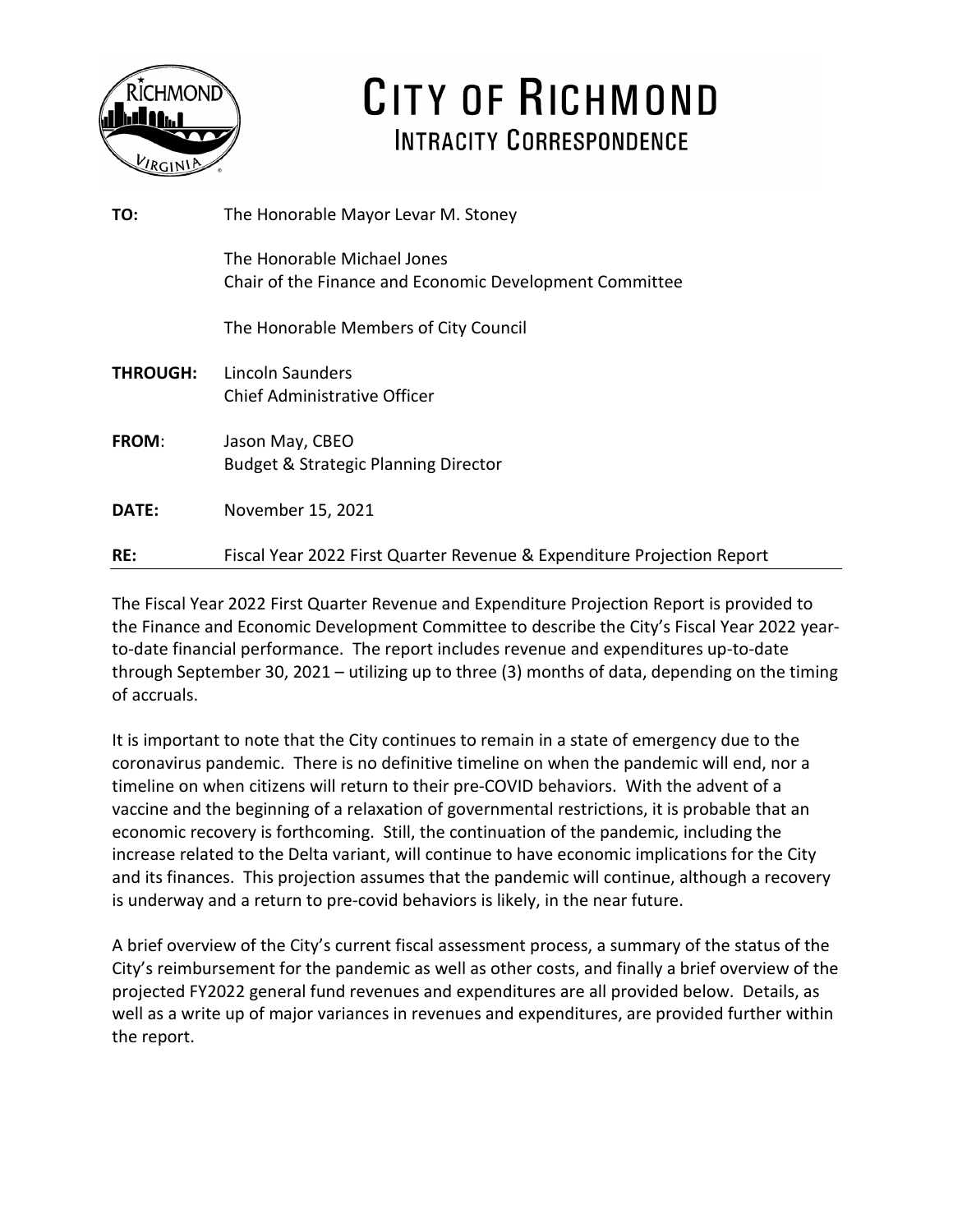

# CITY OF RICHMOND **INTRACITY CORRESPONDENCE**

| TO:             | The Honorable Mayor Levar M. Stoney                                                    |
|-----------------|----------------------------------------------------------------------------------------|
|                 | The Honorable Michael Jones<br>Chair of the Finance and Economic Development Committee |
|                 | The Honorable Members of City Council                                                  |
| <b>THROUGH:</b> | Lincoln Saunders<br>Chief Administrative Officer                                       |
| FROM:           | Jason May, CBEO<br><b>Budget &amp; Strategic Planning Director</b>                     |
| DATE:           | November 15, 2021                                                                      |
| RE:             | Fiscal Year 2022 First Quarter Revenue & Expenditure Projection Report                 |

The Fiscal Year 2022 First Quarter Revenue and Expenditure Projection Report is provided to the Finance and Economic Development Committee to describe the City's Fiscal Year 2022 yearto-date financial performance. The report includes revenue and expenditures up-to-date through September 30, 2021 – utilizing up to three (3) months of data, depending on the timing of accruals.

It is important to note that the City continues to remain in a state of emergency due to the coronavirus pandemic. There is no definitive timeline on when the pandemic will end, nor a timeline on when citizens will return to their pre-COVID behaviors. With the advent of a vaccine and the beginning of a relaxation of governmental restrictions, it is probable that an economic recovery is forthcoming. Still, the continuation of the pandemic, including the increase related to the Delta variant, will continue to have economic implications for the City and its finances. This projection assumes that the pandemic will continue, although a recovery is underway and a return to pre-covid behaviors is likely, in the near future.

A brief overview of the City's current fiscal assessment process, a summary of the status of the City's reimbursement for the pandemic as well as other costs, and finally a brief overview of the projected FY2022 general fund revenues and expenditures are all provided below. Details, as well as a write up of major variances in revenues and expenditures, are provided further within the report.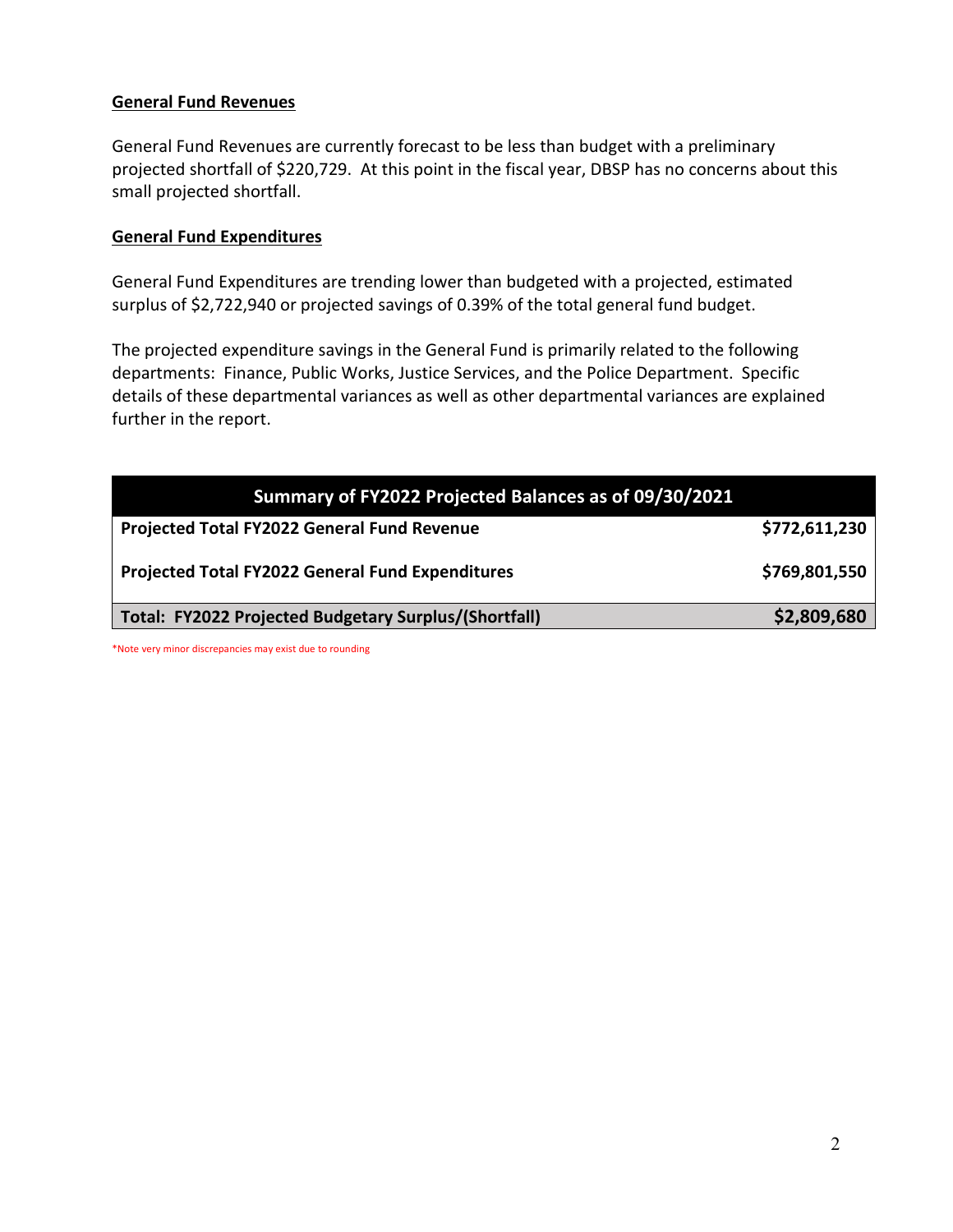### **General Fund Revenues**

General Fund Revenues are currently forecast to be less than budget with a preliminary projected shortfall of \$220,729. At this point in the fiscal year, DBSP has no concerns about this small projected shortfall.

### **General Fund Expenditures**

General Fund Expenditures are trending lower than budgeted with a projected, estimated surplus of \$2,722,940 or projected savings of 0.39% of the total general fund budget.

The projected expenditure savings in the General Fund is primarily related to the following departments: Finance, Public Works, Justice Services, and the Police Department. Specific details of these departmental variances as well as other departmental variances are explained further in the report.

| Summary of FY2022 Projected Balances as of 09/30/2021 |               |
|-------------------------------------------------------|---------------|
| Projected Total FY2022 General Fund Revenue           | \$772,611,230 |
| Projected Total FY2022 General Fund Expenditures      | \$769,801,550 |
| Total: FY2022 Projected Budgetary Surplus/(Shortfall) | \$2,809,680   |

\*Note very minor discrepancies may exist due to rounding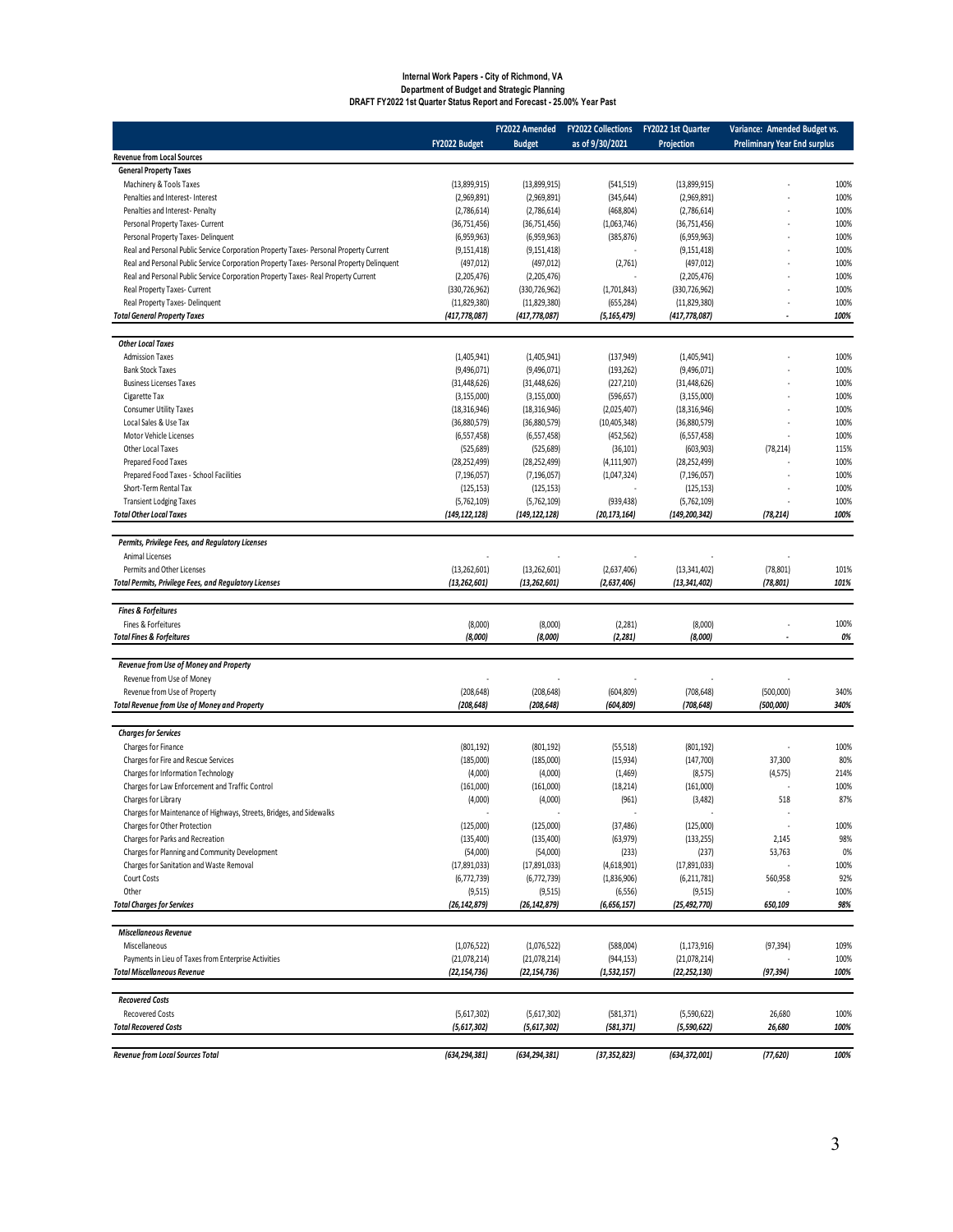### **Internal Work Papers - City of Richmond, VA Department of Budget and Strategic Planning DRAFT FY2022 1st Quarter Status Report and Forecast - 25.00% Year Past**

|                                                                                           |                                 | FY2022 Amended                  | <b>FY2022 Collections</b> | FY2022 1st Quarter              | Variance: Amended Budget vs.        |              |
|-------------------------------------------------------------------------------------------|---------------------------------|---------------------------------|---------------------------|---------------------------------|-------------------------------------|--------------|
|                                                                                           | FY2022 Budget                   | <b>Budget</b>                   | as of 9/30/2021           | Projection                      | <b>Preliminary Year End surplus</b> |              |
| <b>Revenue from Local Sources</b>                                                         |                                 |                                 |                           |                                 |                                     |              |
| <b>General Property Taxes</b>                                                             |                                 |                                 |                           |                                 |                                     |              |
| Machinery & Tools Taxes                                                                   | (13,899,915)                    | (13,899,915)                    | (541, 519)                | (13,899,915)                    |                                     | 100%         |
| Penalties and Interest- Interest<br>Penalties and Interest- Penalty                       | (2,969,891)<br>(2,786,614)      | (2,969,891)                     | (345, 644)                | (2,969,891)                     |                                     | 100%<br>100% |
| Personal Property Taxes- Current                                                          | (36, 751, 456)                  | (2,786,614)<br>(36,751,456)     | (468, 804)<br>(1,063,746) | (2,786,614)<br>(36, 751, 456)   |                                     | 100%         |
| Personal Property Taxes-Delinquent                                                        | (6,959,963)                     | (6,959,963)                     | (385, 876)                | (6,959,963)                     |                                     | 100%         |
| Real and Personal Public Service Corporation Property Taxes- Personal Property Current    | (9, 151, 418)                   | (9, 151, 418)                   |                           | (9, 151, 418)                   |                                     | 100%         |
| Real and Personal Public Service Corporation Property Taxes- Personal Property Delinquent | (497, 012)                      | (497, 012)                      | (2,761)                   | (497, 012)                      |                                     | 100%         |
| Real and Personal Public Service Corporation Property Taxes- Real Property Current        | (2,205,476)                     | (2,205,476)                     |                           | (2,205,476)                     |                                     | 100%         |
| Real Property Taxes- Current                                                              | (330, 726, 962)                 | (330, 726, 962)                 | (1,701,843)               | (330, 726, 962)                 |                                     | 100%         |
| Real Property Taxes- Delinquent                                                           | (11,829,380)                    | (11,829,380)                    | (655, 284)                | (11,829,380)                    |                                     | 100%         |
| <b>Total General Property Taxes</b>                                                       | (417, 778, 087)                 | (417, 778, 087)                 | (5,165,479)               | (417,778,087)                   |                                     | 100%         |
|                                                                                           |                                 |                                 |                           |                                 |                                     |              |
| <b>Other Local Taxes</b>                                                                  |                                 |                                 |                           |                                 |                                     |              |
| <b>Admission Taxes</b>                                                                    | (1,405,941)                     | (1,405,941)                     | (137, 949)                | (1,405,941)                     |                                     | 100%         |
| <b>Bank Stock Taxes</b>                                                                   | (9,496,071)                     | (9,496,071)                     | (193, 262)                | (9,496,071)                     |                                     | 100%         |
| <b>Business Licenses Taxes</b>                                                            | (31, 448, 626)                  | (31, 448, 626)                  | (227, 210)                | (31, 448, 626)                  |                                     | 100%<br>100% |
| Cigarette Tax<br><b>Consumer Utility Taxes</b>                                            | (3, 155, 000)<br>(18, 316, 946) | (3, 155, 000)<br>(18, 316, 946) | (596, 657)<br>(2,025,407) | (3, 155, 000)<br>(18, 316, 946) |                                     | 100%         |
| Local Sales & Use Tax                                                                     | (36,880,579)                    | (36,880,579)                    | (10, 405, 348)            | (36,880,579)                    |                                     | 100%         |
| Motor Vehicle Licenses                                                                    | (6,557,458)                     | (6,557,458)                     | (452, 562)                | (6,557,458)                     |                                     | 100%         |
| Other Local Taxes                                                                         | (525, 689)                      | (525, 689)                      | (36, 101)                 | (603,903)                       | (78, 214)                           | 115%         |
| Prepared Food Taxes                                                                       | (28, 252, 499)                  | (28, 252, 499)                  | (4, 111, 907)             | (28, 252, 499)                  |                                     | 100%         |
| Prepared Food Taxes - School Facilities                                                   | (7, 196, 057)                   | (7, 196, 057)                   | (1,047,324)               | (7, 196, 057)                   |                                     | 100%         |
| Short-Term Rental Tax                                                                     | (125, 153)                      | (125, 153)                      |                           | (125, 153)                      |                                     | 100%         |
| <b>Transient Lodging Taxes</b>                                                            | (5,762,109)                     | (5,762,109)                     | (939, 438)                | (5,762,109)                     |                                     | 100%         |
| <b>Total Other Local Taxes</b>                                                            | (149, 122, 128)                 | (149, 122, 128)                 | (20, 173, 164)            | (149, 200, 342)                 | (78, 214)                           | 100%         |
|                                                                                           |                                 |                                 |                           |                                 |                                     |              |
| Permits, Privilege Fees, and Regulatory Licenses                                          |                                 |                                 |                           |                                 |                                     |              |
| Animal Licenses                                                                           |                                 |                                 |                           |                                 |                                     |              |
| Permits and Other Licenses                                                                | (13, 262, 601)                  | (13,262,601)                    | (2,637,406)               | (13, 341, 402)                  | (78, 801)                           | 101%<br>101% |
| <b>Total Permits, Privilege Fees, and Regulatory Licenses</b>                             | (13, 262, 601)                  | (13, 262, 601)                  | (2,637,406)               | (13, 341, 402)                  | (78, 801)                           |              |
| <b>Fines &amp; Forfeitures</b>                                                            |                                 |                                 |                           |                                 |                                     |              |
| Fines & Forfeitures                                                                       | (8,000)                         | (8,000)                         | (2, 281)                  | (8,000)                         |                                     | 100%         |
| <b>Total Fines &amp; Forfeitures</b>                                                      | (8,000)                         | (8,000)                         | (2, 281)                  | (8,000)                         |                                     | 0%           |
|                                                                                           |                                 |                                 |                           |                                 |                                     |              |
| Revenue from Use of Money and Property                                                    |                                 |                                 |                           |                                 |                                     |              |
| Revenue from Use of Money                                                                 |                                 |                                 |                           |                                 |                                     |              |
| Revenue from Use of Property                                                              | (208, 648)                      | (208, 648)                      | (604, 809)                | (708, 648)                      | (500,000)                           | 340%         |
| <b>Total Revenue from Use of Money and Property</b>                                       | (208, 648)                      | (208,648)                       | (604, 809)                | (708, 648)                      | (500,000)                           | 340%         |
|                                                                                           |                                 |                                 |                           |                                 |                                     |              |
| <b>Charges for Services</b>                                                               |                                 |                                 |                           |                                 |                                     |              |
| Charges for Finance<br>Charges for Fire and Rescue Services                               | (801, 192)<br>(185,000)         | (801, 192)<br>(185,000)         | (55, 518)<br>(15, 934)    | (801, 192)<br>(147,700)         | 37,300                              | 100%<br>80%  |
| Charges for Information Technology                                                        | (4,000)                         | (4,000)                         | (1, 469)                  | (8,575)                         | (4, 575)                            | 214%         |
| Charges for Law Enforcement and Traffic Control                                           | (161,000)                       | (161,000)                       | (18, 214)                 | (161,000)                       |                                     | 100%         |
| Charges for Library                                                                       | (4,000)                         | (4,000)                         | (961)                     | (3,482)                         | 518                                 | 87%          |
| Charges for Maintenance of Highways, Streets, Bridges, and Sidewalks                      |                                 |                                 |                           |                                 |                                     |              |
| Charges for Other Protection                                                              | (125,000)                       | (125,000)                       | (37, 486)                 | (125,000)                       | ٠                                   | 100%         |
| Charges for Parks and Recreation                                                          | (135, 400)                      | (135, 400)                      | (63, 979)                 | (133, 255)                      | 2,145                               | 98%          |
| Charges for Planning and Community Development                                            | (54,000)                        | (54,000)                        | (233)                     | (237)                           | 53,763                              | 0%           |
| Charges for Sanitation and Waste Removal                                                  | (17,891,033)                    | (17,891,033)                    | (4,618,901)               | (17,891,033)                    |                                     | 100%         |
| Court Costs                                                                               | (6, 772, 739)                   | (6,772,739)                     | (1,836,906)               | (6,211,781)                     | 560,958                             | 92%          |
| Other                                                                                     | (9, 515)                        | (9,515)                         | (6, 556)                  | (9,515)                         |                                     | 100%         |
| <b>Total Charges for Services</b>                                                         | (26, 142, 879)                  | (26, 142, 879)                  | (6, 656, 157)             | (25, 492, 770)                  | 650,109                             | 98%          |
| <b>Miscellaneous Revenue</b>                                                              |                                 |                                 |                           |                                 |                                     |              |
| Miscellaneous                                                                             | (1,076,522)                     | (1,076,522)                     | (588,004)                 | (1, 173, 916)                   | (97, 394)                           | 109%         |
| Payments in Lieu of Taxes from Enterprise Activities                                      | (21,078,214)                    | (21,078,214)                    | (944, 153)                | (21,078,214)                    |                                     | 100%         |
| <b>Total Miscellaneous Revenue</b>                                                        | (22, 154, 736)                  | (22, 154, 736)                  | (1, 532, 157)             | (22, 252, 130)                  | (97, 394)                           | 100%         |
|                                                                                           |                                 |                                 |                           |                                 |                                     |              |
| <b>Recovered Costs</b>                                                                    |                                 |                                 |                           |                                 |                                     |              |
| <b>Recovered Costs</b>                                                                    | (5,617,302)                     | (5,617,302)                     | (581, 371)                | (5,590,622)                     | 26,680                              | 100%         |
| <b>Total Recovered Costs</b>                                                              | (5, 617, 302)                   | (5, 617, 302)                   | (581, 371)                | (5,590,622)                     | 26,680                              | 100%         |
|                                                                                           |                                 |                                 |                           |                                 |                                     |              |
| Revenue from Local Sources Total                                                          | (634,294,381)                   | (634, 294, 381)                 | (37, 352, 823)            | (634, 372, 001)                 | (77, 620)                           | 100%         |
|                                                                                           |                                 |                                 |                           |                                 |                                     |              |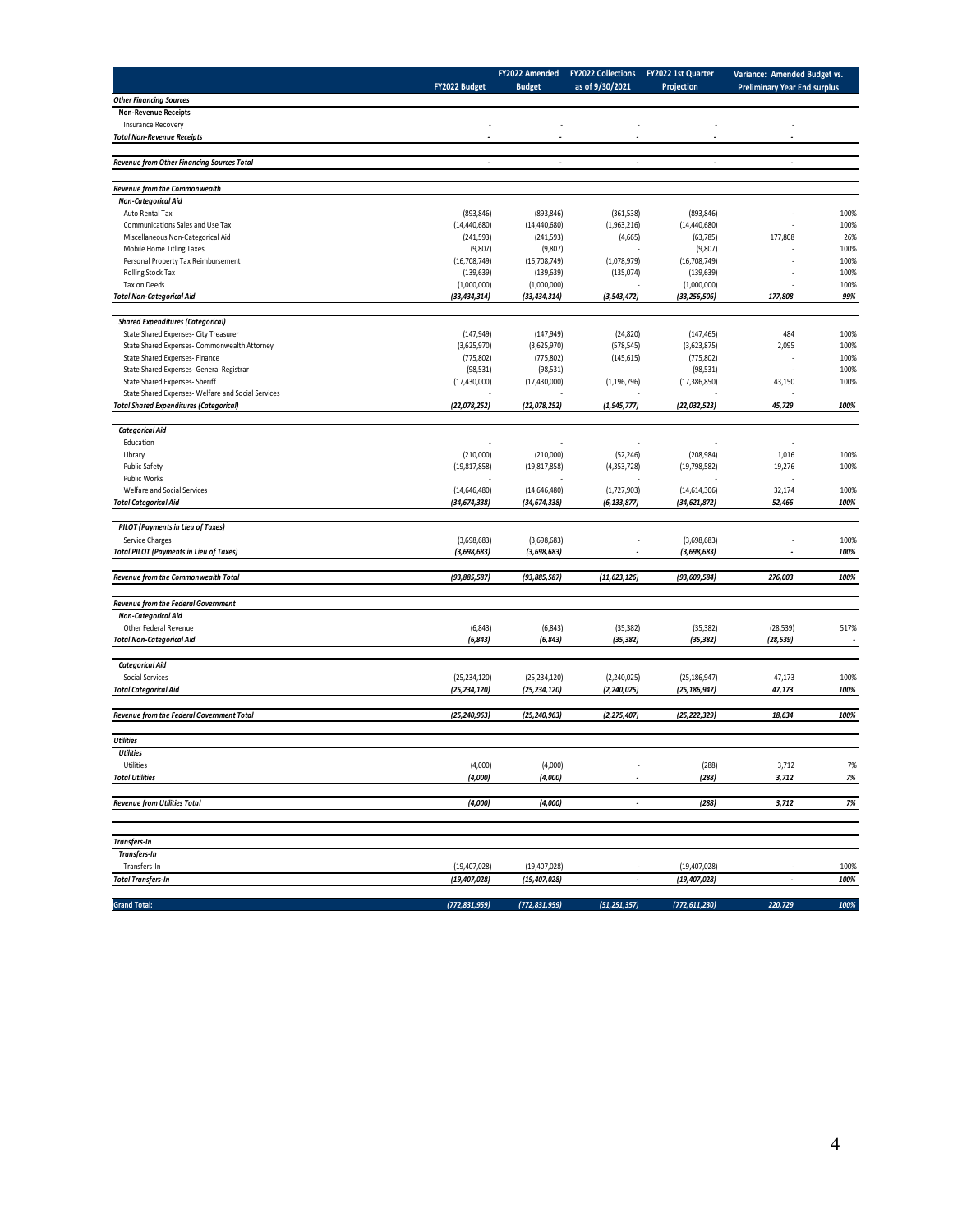|                                                    |                          | FY2022 Amended  | <b>FY2022 Collections</b> | FY2022 1st Quarter | Variance: Amended Budget vs.        |                          |
|----------------------------------------------------|--------------------------|-----------------|---------------------------|--------------------|-------------------------------------|--------------------------|
|                                                    | FY2022 Budget            | <b>Budget</b>   | as of 9/30/2021           | Projection         | <b>Preliminary Year End surplus</b> |                          |
| <b>Other Financing Sources</b>                     |                          |                 |                           |                    |                                     |                          |
| <b>Non-Revenue Receipts</b>                        |                          |                 |                           |                    |                                     |                          |
| Insurance Recovery                                 |                          |                 |                           |                    |                                     |                          |
| <b>Total Non-Revenue Receipts</b>                  | $\overline{\phantom{a}}$ | $\overline{a}$  | $\overline{\phantom{a}}$  |                    | $\overline{\phantom{a}}$            |                          |
|                                                    |                          |                 |                           |                    |                                     |                          |
| <b>Revenue from Other Financing Sources Total</b>  |                          |                 | $\overline{a}$            |                    | $\overline{a}$                      |                          |
| Revenue from the Commonwealth                      |                          |                 |                           |                    |                                     |                          |
| <b>Non-Categorical Aid</b>                         |                          |                 |                           |                    |                                     |                          |
| Auto Rental Tax                                    | (893, 846)               | (893, 846)      | (361, 538)                | (893, 846)         |                                     | 100%                     |
| Communications Sales and Use Tax                   | (14, 440, 680)           | (14, 440, 680)  | (1,963,216)               | (14, 440, 680)     |                                     | 100%                     |
| Miscellaneous Non-Categorical Aid                  | (241, 593)               | (241, 593)      | (4,665)                   | (63, 785)          | 177,808                             | 26%                      |
| Mobile Home Titling Taxes                          | (9,807)                  | (9,807)         |                           | (9,807)            |                                     | 100%                     |
| Personal Property Tax Reimbursement                | (16,708,749)             | (16,708,749)    | (1,078,979)               | (16,708,749)       |                                     | 100%                     |
| Rolling Stock Tax                                  | (139, 639)               | (139, 639)      | (135,074)                 | (139, 639)         |                                     | 100%                     |
| Tax on Deeds                                       | (1,000,000)              | (1,000,000)     |                           | (1,000,000)        |                                     | 100%                     |
| <b>Total Non-Categorical Aid</b>                   | (33, 434, 314)           | (33, 434, 314)  | (3, 543, 472)             | (33, 256, 506)     | 177,808                             | 99%                      |
| <b>Shared Expenditures (Categorical)</b>           |                          |                 |                           |                    |                                     |                          |
| State Shared Expenses- City Treasurer              | (147, 949)               | (147, 949)      | (24, 820)                 | (147, 465)         | 484                                 | 100%                     |
| State Shared Expenses- Commonwealth Attorney       | (3,625,970)              | (3,625,970)     | (578, 545)                | (3,623,875)        | 2,095                               | 100%                     |
| State Shared Expenses- Finance                     | (775, 802)               | (775, 802)      | (145, 615)                | (775, 802)         |                                     | 100%                     |
| State Shared Expenses- General Registrar           | (98, 531)                | (98, 531)       |                           | (98, 531)          |                                     | 100%                     |
| <b>State Shared Expenses- Sheriff</b>              | (17, 430, 000)           | (17, 430, 000)  | (1, 196, 796)             | (17, 386, 850)     | 43,150                              | 100%                     |
| State Shared Expenses- Welfare and Social Services |                          |                 |                           |                    |                                     |                          |
| <b>Total Shared Expenditures (Categorical)</b>     | (22, 078, 252)           | (22, 078, 252)  | (1, 945, 777)             | (22,032,523)       | 45,729                              | 100%                     |
| <b>Categorical Aid</b>                             |                          |                 |                           |                    |                                     |                          |
| Education                                          |                          |                 |                           |                    | ä,                                  |                          |
| Library                                            | (210,000)                | (210,000)       | (52, 246)                 | (208, 984)         | 1,016                               | 100%                     |
| Public Safety                                      | (19, 817, 858)           | (19, 817, 858)  | (4, 353, 728)             | (19,798,582)       | 19,276                              | 100%                     |
| Public Works                                       |                          |                 |                           |                    |                                     |                          |
| Welfare and Social Services                        | (14,646,480)             | (14,646,480)    | (1,727,903)               | (14,614,306)       | 32,174                              | 100%                     |
| <b>Total Categorical Aid</b>                       | (34, 674, 338)           | (34, 674, 338)  | (6, 133, 877)             | (34, 621, 872)     | 52,466                              | 100%                     |
| PILOT (Payments in Lieu of Taxes)                  |                          |                 |                           |                    |                                     |                          |
| Service Charges                                    | (3,698,683)              | (3,698,683)     |                           | (3,698,683)        |                                     | 100%                     |
| <b>Total PILOT (Payments in Lieu of Taxes)</b>     | (3, 698, 683)            | (3,698,683)     | $\overline{\phantom{a}}$  | (3,698,683)        | $\overline{\phantom{a}}$            | 100%                     |
|                                                    |                          |                 |                           |                    |                                     |                          |
| Revenue from the Commonwealth Total                | (93, 885, 587)           | (93, 885, 587)  | (11, 623, 126)            | (93, 609, 584)     | 276,003                             | 100%                     |
| Revenue from the Federal Government                |                          |                 |                           |                    |                                     |                          |
| <b>Non-Categorical Aid</b>                         |                          |                 |                           |                    |                                     |                          |
| Other Federal Revenue                              | (6, 843)                 | (6, 843)        | (35, 382)                 | (35, 382)          | (28, 539)                           | 517%                     |
| <b>Total Non-Categorical Aid</b>                   | (6, 843)                 | (6, 843)        | (35, 382)                 | (35, 382)          | (28, 539)                           | $\overline{\phantom{a}}$ |
| <b>Categorical Aid</b>                             |                          |                 |                           |                    |                                     |                          |
| <b>Social Services</b>                             | (25, 234, 120)           | (25, 234, 120)  | (2,240,025)               | (25, 186, 947)     | 47,173                              | 100%                     |
| <b>Total Categorical Aid</b>                       | (25, 234, 120)           | (25, 234, 120)  | (2, 240, 025)             | (25, 186, 947)     | 47,173                              | 100%                     |
|                                                    |                          |                 |                           |                    |                                     |                          |
| Revenue from the Federal Government Total          | (25, 240, 963)           | (25, 240, 963)  | (2, 275, 407)             | (25, 222, 329)     | 18,634                              | 100%                     |
| <b>Utilities</b>                                   |                          |                 |                           |                    |                                     |                          |
| <b>Utilities</b>                                   |                          |                 |                           |                    |                                     |                          |
| Utilities                                          | (4,000)                  | (4,000)         |                           | (288)              | 3,712                               | $1\%$                    |
| <b>Total Utilities</b>                             | (4,000)                  | (4,000)         |                           | (288)              | 3,712                               | 7%                       |
|                                                    |                          |                 |                           |                    |                                     |                          |
| <b>Revenue from Utilities Total</b>                | (4,000)                  | (4,000)         | $\overline{\phantom{a}}$  | (288)              | 3,712                               | 7%                       |
|                                                    |                          |                 |                           |                    |                                     |                          |
| <b>Transfers-In</b>                                |                          |                 |                           |                    |                                     |                          |
| Transfers-In                                       |                          |                 |                           |                    |                                     |                          |
| Transfers-In                                       | (19, 407, 028)           | (19, 407, 028)  |                           | (19, 407, 028)     |                                     | 100%                     |
| <b>Total Transfers-In</b>                          | (19, 407, 028)           | (19, 407, 028)  | $\overline{a}$            | (19, 407, 028)     | $\overline{a}$                      | 100%                     |
| <b>Grand Total:</b>                                | (772, 831, 959)          | (772, 831, 959) | (51, 251, 357)            | (772, 611, 230)    | 220,729                             | 100%                     |
|                                                    |                          |                 |                           |                    |                                     |                          |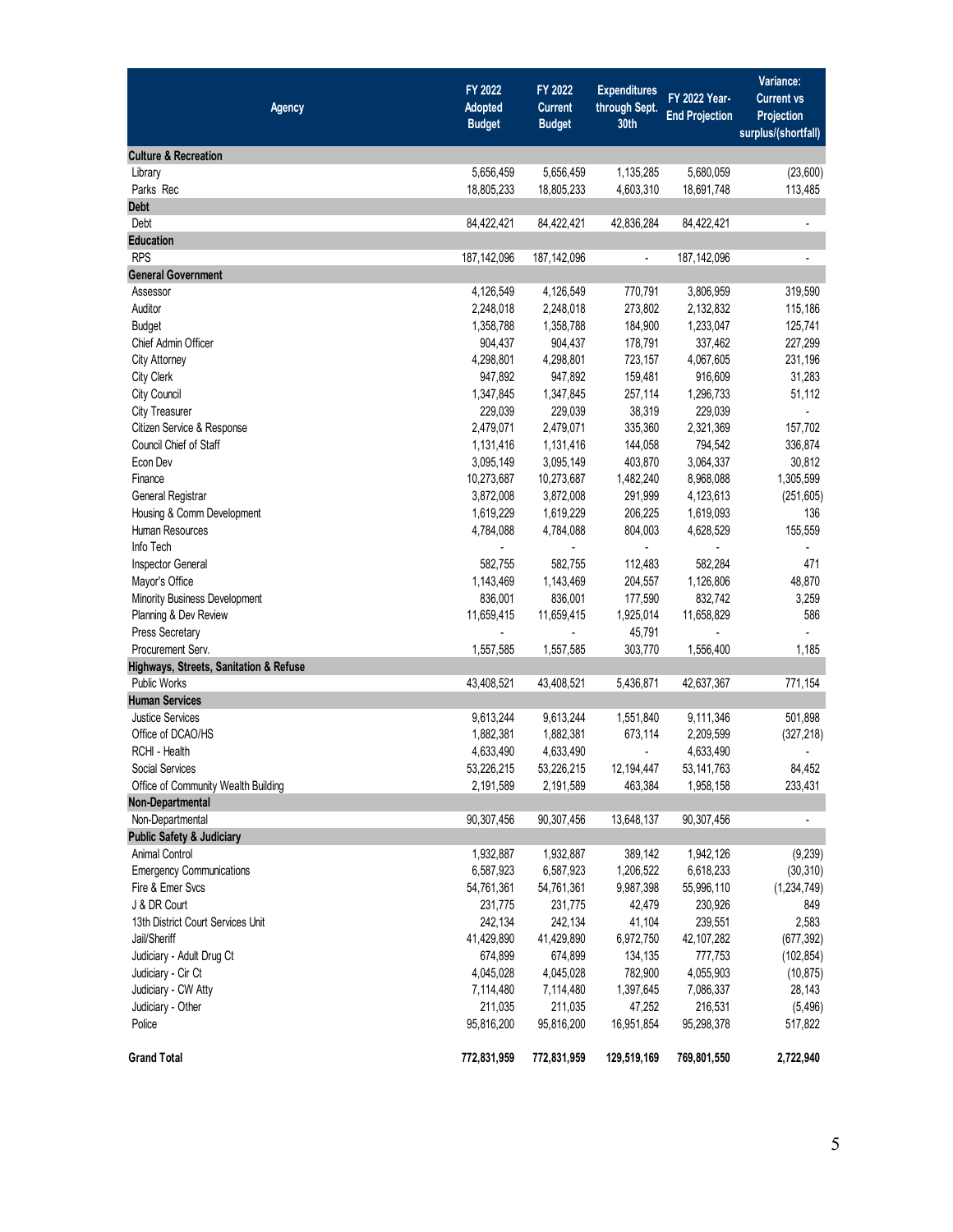| <b>Agency</b>                          | FY 2022<br>Adopted<br><b>Budget</b> | FY 2022<br><b>Current</b><br><b>Budget</b> | <b>Expenditures</b><br>through Sept.<br>30th | FY 2022 Year-<br><b>End Projection</b> | Variance:<br><b>Current vs</b><br>Projection<br>surplus/(shortfall) |
|----------------------------------------|-------------------------------------|--------------------------------------------|----------------------------------------------|----------------------------------------|---------------------------------------------------------------------|
| <b>Culture &amp; Recreation</b>        |                                     |                                            |                                              |                                        |                                                                     |
| Library                                | 5,656,459                           | 5,656,459                                  | 1,135,285                                    | 5,680,059                              | (23,600)                                                            |
| Parks Rec                              | 18,805,233                          | 18,805,233                                 | 4,603,310                                    | 18,691,748                             | 113,485                                                             |
| <b>Debt</b>                            |                                     |                                            |                                              |                                        |                                                                     |
| Debt                                   | 84,422,421                          | 84,422,421                                 | 42,836,284                                   | 84,422,421                             | $\blacksquare$                                                      |
| <b>Education</b>                       |                                     |                                            |                                              |                                        |                                                                     |
| <b>RPS</b>                             | 187,142,096                         | 187, 142, 096                              | $\blacksquare$                               | 187,142,096                            | $\overline{a}$                                                      |
| <b>General Government</b>              |                                     |                                            |                                              |                                        |                                                                     |
| Assessor                               | 4,126,549                           | 4,126,549                                  | 770,791                                      | 3,806,959                              | 319,590                                                             |
| Auditor                                | 2,248,018                           | 2,248,018                                  | 273,802                                      | 2,132,832                              | 115,186                                                             |
| <b>Budget</b>                          | 1,358,788                           | 1,358,788                                  | 184,900                                      | 1,233,047                              | 125,741                                                             |
| Chief Admin Officer                    | 904,437                             | 904,437                                    | 178,791                                      | 337,462                                | 227,299                                                             |
| <b>City Attorney</b>                   | 4,298,801                           | 4,298,801                                  | 723,157                                      | 4,067,605                              | 231,196                                                             |
| City Clerk                             | 947,892                             | 947,892                                    | 159,481                                      | 916,609                                | 31,283                                                              |
| City Council                           | 1,347,845                           | 1,347,845                                  | 257,114                                      | 1,296,733                              | 51,112                                                              |
| <b>City Treasurer</b>                  | 229,039                             | 229,039                                    | 38,319                                       | 229,039                                | $\blacksquare$                                                      |
| Citizen Service & Response             | 2,479,071                           | 2,479,071                                  | 335,360                                      | 2,321,369                              | 157,702                                                             |
| Council Chief of Staff                 | 1,131,416                           | 1,131,416                                  | 144,058                                      | 794,542                                | 336,874                                                             |
| Econ Dev                               | 3,095,149                           | 3,095,149                                  | 403,870                                      | 3,064,337                              | 30,812                                                              |
| Finance                                | 10,273,687                          | 10,273,687                                 | 1,482,240                                    | 8,968,088                              | 1,305,599                                                           |
| General Registrar                      | 3,872,008                           | 3,872,008                                  | 291,999                                      | 4,123,613                              | (251, 605)                                                          |
| Housing & Comm Development             | 1,619,229                           | 1,619,229                                  | 206,225                                      | 1,619,093                              | 136                                                                 |
| Human Resources                        | 4,784,088                           | 4,784,088                                  | 804,003                                      | 4,628,529                              | 155,559                                                             |
| Info Tech                              |                                     |                                            |                                              |                                        |                                                                     |
| Inspector General                      | 582,755                             | 582,755                                    | 112,483                                      | 582,284                                | 471                                                                 |
| Mayor's Office                         | 1,143,469                           | 1,143,469                                  | 204,557                                      | 1,126,806                              | 48,870                                                              |
| Minority Business Development          | 836,001                             | 836,001                                    | 177,590                                      | 832,742                                | 3,259                                                               |
| Planning & Dev Review                  | 11,659,415                          | 11,659,415                                 | 1,925,014                                    | 11,658,829                             | 586                                                                 |
| Press Secretary                        |                                     | ÷.                                         | 45,791                                       |                                        | ä,                                                                  |
| Procurement Serv.                      | 1,557,585                           | 1,557,585                                  | 303,770                                      | 1,556,400                              | 1,185                                                               |
| Highways, Streets, Sanitation & Refuse |                                     |                                            |                                              |                                        |                                                                     |
| <b>Public Works</b>                    | 43,408,521                          | 43,408,521                                 | 5,436,871                                    | 42,637,367                             | 771,154                                                             |
| <b>Human Services</b>                  |                                     |                                            |                                              |                                        |                                                                     |
| <b>Justice Services</b>                | 9,613,244                           | 9,613,244                                  | 1,551,840                                    | 9,111,346                              | 501,898                                                             |
| Office of DCAO/HS                      | 1,882,381                           | 1,882,381                                  | 673,114                                      | 2,209,599                              | (327, 218)                                                          |
| RCHI - Health                          | 4,633,490                           | 4,633,490                                  |                                              | 4,633,490                              | $\overline{a}$                                                      |
| Social Services                        | 53,226,215                          | 53,226,215                                 | 12,194,447                                   | 53, 141, 763                           | 84,452                                                              |
| Office of Community Wealth Building    | 2,191,589                           | 2,191,589                                  | 463,384                                      | 1,958,158                              | 233,431                                                             |
| Non-Departmental                       |                                     |                                            |                                              |                                        |                                                                     |
| Non-Departmental                       | 90,307,456                          | 90,307,456                                 |                                              | 90,307,456                             | $\blacksquare$                                                      |
| <b>Public Safety &amp; Judiciary</b>   |                                     |                                            | 13,648,137                                   |                                        |                                                                     |
|                                        |                                     |                                            |                                              |                                        |                                                                     |
| <b>Animal Control</b>                  | 1,932,887                           | 1,932,887                                  | 389,142                                      | 1,942,126                              | (9,239)                                                             |
| <b>Emergency Communications</b>        | 6,587,923                           | 6,587,923                                  | 1,206,522                                    | 6,618,233                              | (30, 310)                                                           |
| Fire & Emer Svcs                       | 54,761,361                          | 54,761,361                                 | 9,987,398                                    | 55,996,110                             | (1, 234, 749)                                                       |
| J & DR Court                           | 231,775                             | 231,775                                    | 42,479                                       | 230,926                                | 849                                                                 |
| 13th District Court Services Unit      | 242,134                             | 242,134                                    | 41,104                                       | 239,551                                | 2,583                                                               |
| Jail/Sheriff                           | 41,429,890                          | 41,429,890                                 | 6,972,750                                    | 42,107,282                             | (677, 392)                                                          |
| Judiciary - Adult Drug Ct              | 674,899                             | 674,899                                    | 134,135                                      | 777,753                                | (102, 854)                                                          |
| Judiciary - Cir Ct                     | 4,045,028                           | 4,045,028                                  | 782,900                                      | 4,055,903                              | (10, 875)                                                           |
| Judiciary - CW Atty                    | 7,114,480                           | 7,114,480                                  | 1,397,645                                    | 7,086,337                              | 28,143                                                              |
| Judiciary - Other                      | 211,035                             | 211,035                                    | 47,252                                       | 216,531                                | (5, 496)                                                            |
| Police                                 | 95,816,200                          | 95,816,200                                 | 16,951,854                                   | 95,298,378                             | 517,822                                                             |
| <b>Grand Total</b>                     | 772,831,959                         | 772,831,959                                | 129,519,169                                  | 769,801,550                            | 2,722,940                                                           |
|                                        |                                     |                                            |                                              |                                        |                                                                     |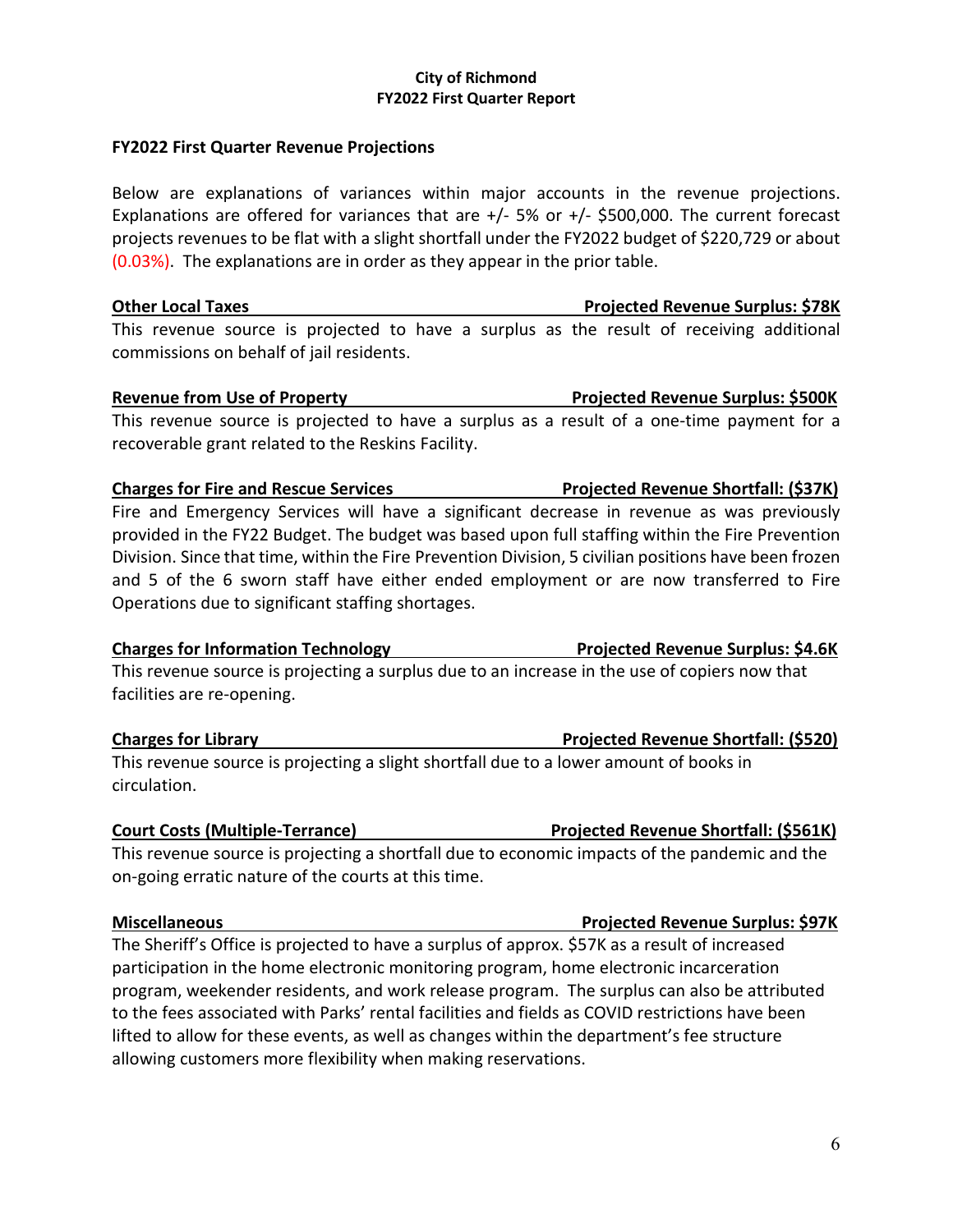### **City of Richmond FY2022 First Quarter Report**

### **FY2022 First Quarter Revenue Projections**

Below are explanations of variances within major accounts in the revenue projections. Explanations are offered for variances that are  $+/$ - 5% or  $+/-$  \$500,000. The current forecast projects revenues to be flat with a slight shortfall under the FY2022 budget of \$220,729 or about (0.03%). The explanations are in order as they appear in the prior table.

**Other Local Taxes Projected Revenue Surplus: \$78K** This revenue source is projected to have a surplus as the result of receiving additional commissions on behalf of jail residents.

### **Revenue from Use of Property Projected Revenue Surplus: \$500K**

This revenue source is projected to have a surplus as a result of a one-time payment for a recoverable grant related to the Reskins Facility.

### **Charges for Fire and Rescue Services Projected Revenue Shortfall: (\$37K)**

Fire and Emergency Services will have a significant decrease in revenue as was previously provided in the FY22 Budget. The budget was based upon full staffing within the Fire Prevention Division. Since that time, within the Fire Prevention Division, 5 civilian positions have been frozen and 5 of the 6 sworn staff have either ended employment or are now transferred to Fire Operations due to significant staffing shortages.

### **Charges for Information Technology Projected Revenue Surplus: \$4.6K**

This revenue source is projecting a surplus due to an increase in the use of copiers now that facilities are re-opening.

### **Charges for Library Charges for Library Charges for Library Projected Revenue Shortfall: (\$520)**

This revenue source is projecting a slight shortfall due to a lower amount of books in circulation.

### **Court Costs (Multiple-Terrance) Projected Revenue Shortfall: (\$561K)**

This revenue source is projecting a shortfall due to economic impacts of the pandemic and the on-going erratic nature of the courts at this time.

### **Miscellaneous Projected Revenue Surplus: \$97K**

The Sheriff's Office is projected to have a surplus of approx. \$57K as a result of increased participation in the home electronic monitoring program, home electronic incarceration program, weekender residents, and work release program. The surplus can also be attributed to the fees associated with Parks' rental facilities and fields as COVID restrictions have been lifted to allow for these events, as well as changes within the department's fee structure allowing customers more flexibility when making reservations.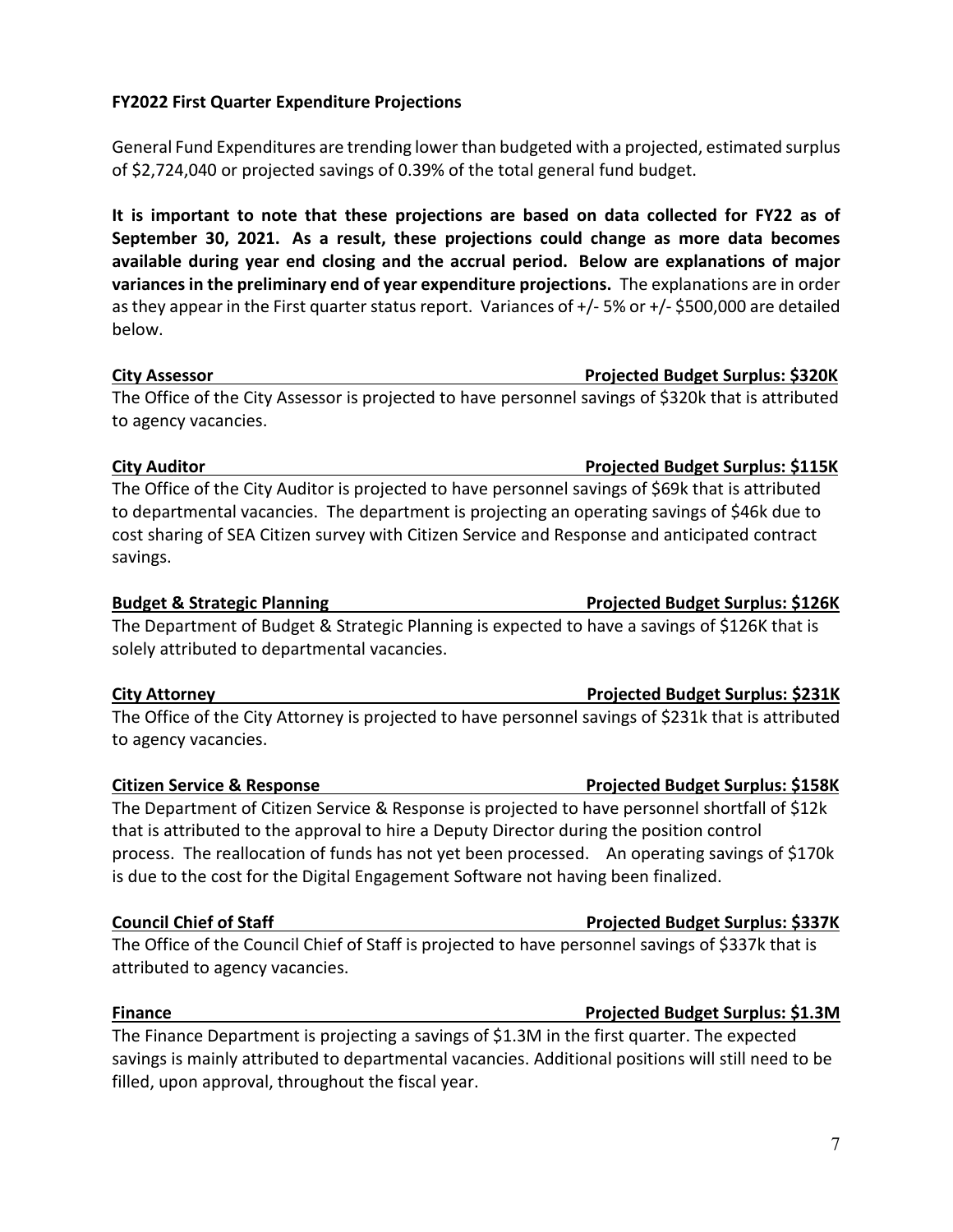### **FY2022 First Quarter Expenditure Projections**

General Fund Expenditures are trending lower than budgeted with a projected, estimated surplus of \$2,724,040 or projected savings of 0.39% of the total general fund budget.

**It is important to note that these projections are based on data collected for FY22 as of September 30, 2021. As a result, these projections could change as more data becomes available during year end closing and the accrual period. Below are explanations of major variances in the preliminary end of year expenditure projections.** The explanations are in order as they appear in the First quarter status report. Variances of +/- 5% or +/- \$500,000 are detailed below.

### **City Assessor Projected Budget Surplus: \$320K**

The Office of the City Assessor is projected to have personnel savings of \$320k that is attributed to agency vacancies.

The Office of the City Auditor is projected to have personnel savings of \$69k that is attributed to departmental vacancies. The department is projecting an operating savings of \$46k due to cost sharing of SEA Citizen survey with Citizen Service and Response and anticipated contract savings.

The Department of Budget & Strategic Planning is expected to have a savings of \$126K that is solely attributed to departmental vacancies.

### **City Attorney Projected Budget Surplus: \$231K**

The Office of the City Attorney is projected to have personnel savings of \$231k that is attributed to agency vacancies.

The Department of Citizen Service & Response is projected to have personnel shortfall of \$12k that is attributed to the approval to hire a Deputy Director during the position control process. The reallocation of funds has not yet been processed. An operating savings of \$170k is due to the cost for the Digital Engagement Software not having been finalized.

The Office of the Council Chief of Staff is projected to have personnel savings of \$337k that is attributed to agency vacancies.

### **Finance Projected Budget Surplus: \$1.3M**

The Finance Department is projecting a savings of \$1.3M in the first quarter. The expected savings is mainly attributed to departmental vacancies. Additional positions will still need to be filled, upon approval, throughout the fiscal year.

### **City Auditor Projected Budget Surplus: \$115K**

### **Citizen Service & Response Projected Budget Surplus: \$158K**

# **Council Chief of Staff Chief Article Council Chief of Staff Chief Article Council Chief Article Surplus: \$337K**

**Budget & Strategic Planning Projected Budget Surplus: \$126K**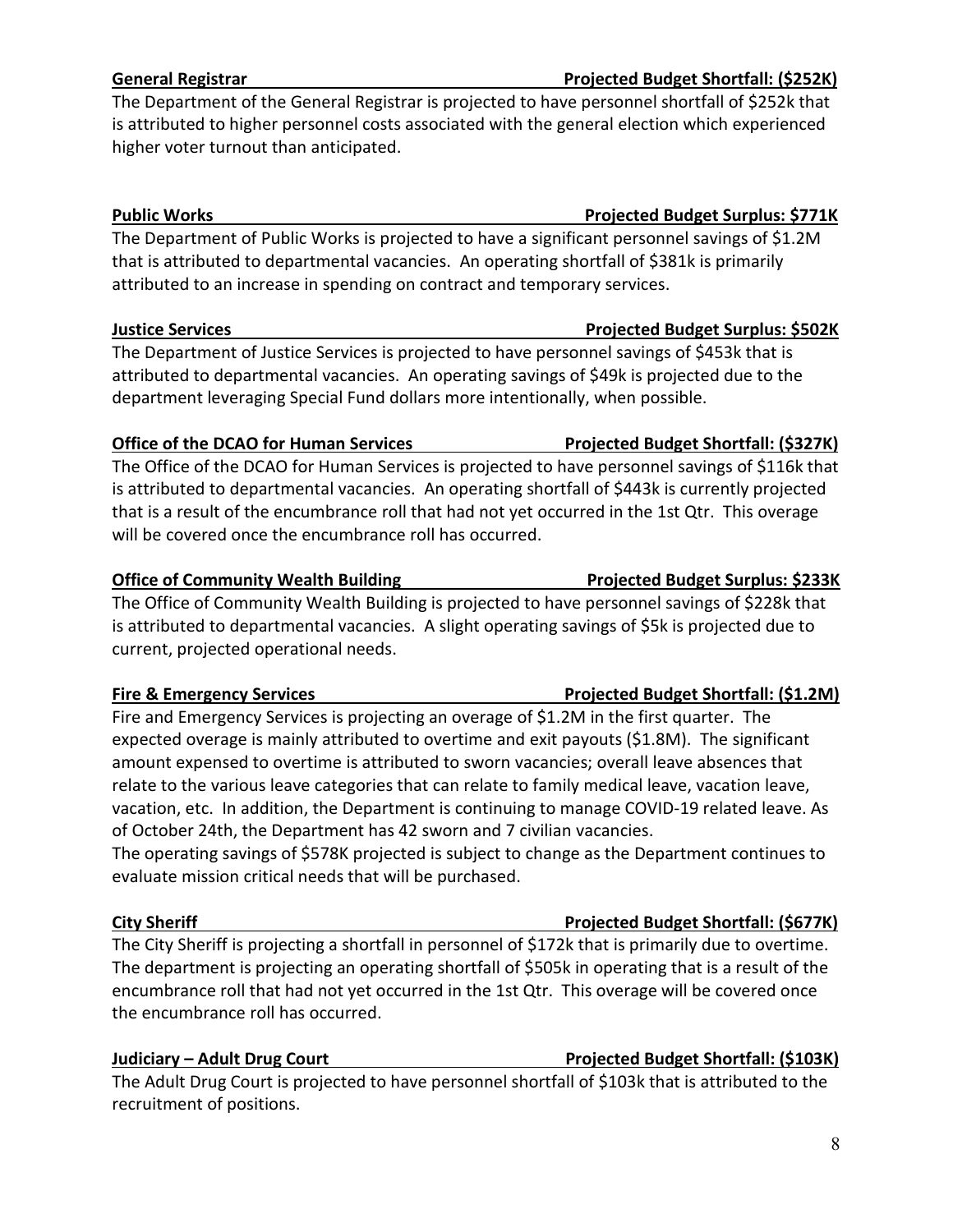### **General Registrar Projected Budget Shortfall: (\$252K)**

The Department of the General Registrar is projected to have personnel shortfall of \$252k that is attributed to higher personnel costs associated with the general election which experienced higher voter turnout than anticipated.

The Department of Public Works is projected to have a significant personnel savings of \$1.2M that is attributed to departmental vacancies. An operating shortfall of \$381k is primarily attributed to an increase in spending on contract and temporary services.

The Department of Justice Services is projected to have personnel savings of \$453k that is attributed to departmental vacancies. An operating savings of \$49k is projected due to the department leveraging Special Fund dollars more intentionally, when possible.

### **Office of the DCAO for Human Services Projected Budget Shortfall: (\$327K)**

The Office of the DCAO for Human Services is projected to have personnel savings of \$116k that is attributed to departmental vacancies. An operating shortfall of \$443k is currently projected that is a result of the encumbrance roll that had not yet occurred in the 1st Qtr. This overage will be covered once the encumbrance roll has occurred.

### **Office of Community Wealth Building The Community Wealth Building Community Ave Strategy Ave Strategy Projected Budget Surplus: \$233K**

The Office of Community Wealth Building is projected to have personnel savings of \$228k that is attributed to departmental vacancies. A slight operating savings of \$5k is projected due to current, projected operational needs.

### **Fire & Emergency Services The State State Services Projected Budget Shortfall: (\$1.2M)**

Fire and Emergency Services is projecting an overage of \$1.2M in the first quarter. The expected overage is mainly attributed to overtime and exit payouts (\$1.8M). The significant amount expensed to overtime is attributed to sworn vacancies; overall leave absences that relate to the various leave categories that can relate to family medical leave, vacation leave, vacation, etc. In addition, the Department is continuing to manage COVID-19 related leave. As of October 24th, the Department has 42 sworn and 7 civilian vacancies.

The operating savings of \$578K projected is subject to change as the Department continues to evaluate mission critical needs that will be purchased.

The City Sheriff is projecting a shortfall in personnel of \$172k that is primarily due to overtime. The department is projecting an operating shortfall of \$505k in operating that is a result of the encumbrance roll that had not yet occurred in the 1st Qtr. This overage will be covered once the encumbrance roll has occurred.

### **Judiciary – Adult Drug Court Projected Budget Shortfall: (\$103K)**

The Adult Drug Court is projected to have personnel shortfall of \$103k that is attributed to the recruitment of positions.

## **City Sheriff Projected Budget Shortfall: (\$677K)**

### **Public Works Projected Budget Surplus: \$771K**

### **Justice Services Projected Budget Surplus: \$502K**